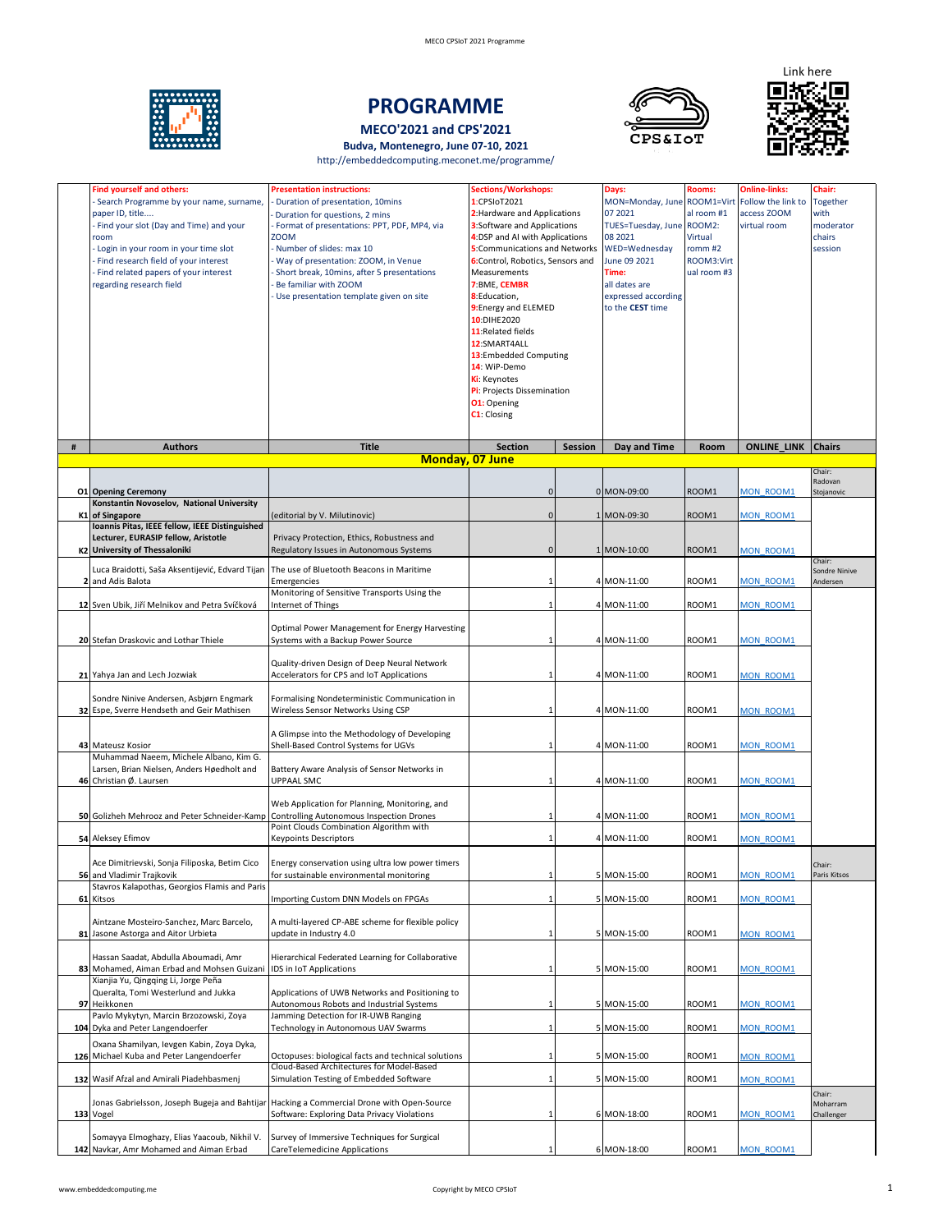

# **PROGRAMME**

**MECO'2021 and CPS'2021**

**Budva, Montenegro, June 07-10, 2021**  http://embeddedcomputing.meconet.me/programme/





|      | <b>Find yourself and others:</b><br>Search Programme by your name, surname,<br>paper ID, title<br>Find your slot (Day and Time) and your<br>room<br>Login in your room in your time slot<br>Find research field of your interest<br>Find related papers of your interest<br>regarding research field | <b>Presentation instructions:</b><br>Duration of presentation, 10mins<br>Duration for questions, 2 mins<br>Format of presentations: PPT, PDF, MP4, via<br><b>ZOOM</b><br>Number of slides: max 10<br>Way of presentation: ZOOM, in Venue<br>Short break, 10mins, after 5 presentations<br>Be familiar with ZOOM<br>Use presentation template given on site | <b>Sections/Workshops:</b><br>1:CPSIoT2021<br>2: Hardware and Applications<br>3:Software and Applications<br>4:DSP and AI with Applications<br>5:Communications and Networks<br>6:Control, Robotics, Sensors and<br>Measurements<br>7:BME, CEMBR<br>8:Education,<br>9: Energy and ELEMED<br>10:DIHE2020<br>11: Related fields<br>12:SMART4ALL<br>13:Embedded Computing<br>14: WiP-Demo<br>Ki: Keynotes<br>Pi: Projects Dissemination<br><b>01:</b> Opening<br>C1: Closing |                | Days:<br>MON=Monday, June ROOM1=Virt Follow the link to<br>07 2021<br>TUES=Tuesday, June ROOM2:<br>08 2021<br>WED=Wednesday<br>June 09 2021<br>Time:<br>all dates are<br>expressed according<br>to the CEST time | Rooms:<br>al room #1<br>Virtual<br>romm #2<br>ROOM3:Virt<br>ual room #3 | <b>Online-links:</b><br>access ZOOM<br>virtual room | Chair:<br>Together<br>with<br>moderator<br>chairs<br>session |
|------|------------------------------------------------------------------------------------------------------------------------------------------------------------------------------------------------------------------------------------------------------------------------------------------------------|------------------------------------------------------------------------------------------------------------------------------------------------------------------------------------------------------------------------------------------------------------------------------------------------------------------------------------------------------------|---------------------------------------------------------------------------------------------------------------------------------------------------------------------------------------------------------------------------------------------------------------------------------------------------------------------------------------------------------------------------------------------------------------------------------------------------------------------------|----------------|------------------------------------------------------------------------------------------------------------------------------------------------------------------------------------------------------------------|-------------------------------------------------------------------------|-----------------------------------------------------|--------------------------------------------------------------|
| $\#$ | <b>Authors</b>                                                                                                                                                                                                                                                                                       | <b>Title</b>                                                                                                                                                                                                                                                                                                                                               | <b>Section</b>                                                                                                                                                                                                                                                                                                                                                                                                                                                            | <b>Session</b> | Day and Time                                                                                                                                                                                                     | Room                                                                    | <b>ONLINE_LINK   Chairs</b>                         |                                                              |
|      |                                                                                                                                                                                                                                                                                                      | <b>Monday, 07 June</b>                                                                                                                                                                                                                                                                                                                                     |                                                                                                                                                                                                                                                                                                                                                                                                                                                                           |                |                                                                                                                                                                                                                  |                                                                         |                                                     | Chair:                                                       |
|      | <b>01 Opening Ceremony</b>                                                                                                                                                                                                                                                                           |                                                                                                                                                                                                                                                                                                                                                            | $\Omega$                                                                                                                                                                                                                                                                                                                                                                                                                                                                  |                | 0 MON-09:00                                                                                                                                                                                                      | ROOM1                                                                   | MON ROOM1                                           | Radovan<br>Stojanovic                                        |
|      | Konstantin Novoselov, National University                                                                                                                                                                                                                                                            |                                                                                                                                                                                                                                                                                                                                                            |                                                                                                                                                                                                                                                                                                                                                                                                                                                                           |                |                                                                                                                                                                                                                  |                                                                         |                                                     |                                                              |
|      | K1 of Singapore<br>Ioannis Pitas, IEEE fellow, IEEE Distinguished                                                                                                                                                                                                                                    | editorial by V. Milutinovic)                                                                                                                                                                                                                                                                                                                               | $\Omega$                                                                                                                                                                                                                                                                                                                                                                                                                                                                  |                | 1 MON-09:30                                                                                                                                                                                                      | ROOM1                                                                   | MON ROOM1                                           |                                                              |
|      | Lecturer, EURASIP fellow, Aristotle<br>K2 University of Thessaloniki                                                                                                                                                                                                                                 | Privacy Protection, Ethics, Robustness and                                                                                                                                                                                                                                                                                                                 | 0                                                                                                                                                                                                                                                                                                                                                                                                                                                                         |                | 1 MON-10:00                                                                                                                                                                                                      | ROOM1                                                                   | <b>MON ROOM1</b>                                    |                                                              |
|      |                                                                                                                                                                                                                                                                                                      | Regulatory Issues in Autonomous Systems                                                                                                                                                                                                                                                                                                                    |                                                                                                                                                                                                                                                                                                                                                                                                                                                                           |                |                                                                                                                                                                                                                  |                                                                         |                                                     | Chair:                                                       |
|      | Luca Braidotti, Saša Aksentijević, Edvard Tijan<br>2 and Adis Balota                                                                                                                                                                                                                                 | The use of Bluetooth Beacons in Maritime<br>Emergencies                                                                                                                                                                                                                                                                                                    |                                                                                                                                                                                                                                                                                                                                                                                                                                                                           |                | 4 MON-11:00                                                                                                                                                                                                      | ROOM1                                                                   | MON ROOM1                                           | Sondre Ninive<br>Andersen                                    |
|      | 12 Sven Ubik, Jiří Melnikov and Petra Svíčková                                                                                                                                                                                                                                                       | Monitoring of Sensitive Transports Using the<br>Internet of Things                                                                                                                                                                                                                                                                                         |                                                                                                                                                                                                                                                                                                                                                                                                                                                                           |                | 4 MON-11:00                                                                                                                                                                                                      | ROOM1                                                                   | MON ROOM1                                           |                                                              |
|      |                                                                                                                                                                                                                                                                                                      |                                                                                                                                                                                                                                                                                                                                                            |                                                                                                                                                                                                                                                                                                                                                                                                                                                                           |                |                                                                                                                                                                                                                  |                                                                         |                                                     |                                                              |
|      | 20 Stefan Draskovic and Lothar Thiele                                                                                                                                                                                                                                                                | Optimal Power Management for Energy Harvesting<br>Systems with a Backup Power Source                                                                                                                                                                                                                                                                       |                                                                                                                                                                                                                                                                                                                                                                                                                                                                           |                | 4 MON-11:00                                                                                                                                                                                                      | ROOM1                                                                   | <b>MON ROOM1</b>                                    |                                                              |
|      |                                                                                                                                                                                                                                                                                                      |                                                                                                                                                                                                                                                                                                                                                            |                                                                                                                                                                                                                                                                                                                                                                                                                                                                           |                |                                                                                                                                                                                                                  |                                                                         |                                                     |                                                              |
|      | 21 Yahya Jan and Lech Jozwiak                                                                                                                                                                                                                                                                        | Quality-driven Design of Deep Neural Network<br>Accelerators for CPS and IoT Applications                                                                                                                                                                                                                                                                  |                                                                                                                                                                                                                                                                                                                                                                                                                                                                           |                | 4 MON-11:00                                                                                                                                                                                                      | ROOM1                                                                   | MON ROOM1                                           |                                                              |
|      |                                                                                                                                                                                                                                                                                                      |                                                                                                                                                                                                                                                                                                                                                            |                                                                                                                                                                                                                                                                                                                                                                                                                                                                           |                |                                                                                                                                                                                                                  |                                                                         |                                                     |                                                              |
|      | Sondre Ninive Andersen, Asbjørn Engmark<br>32 Espe, Sverre Hendseth and Geir Mathisen                                                                                                                                                                                                                | Formalising Nondeterministic Communication in<br>Wireless Sensor Networks Using CSP                                                                                                                                                                                                                                                                        |                                                                                                                                                                                                                                                                                                                                                                                                                                                                           |                | 4 MON-11:00                                                                                                                                                                                                      | ROOM1                                                                   | MON ROOM1                                           |                                                              |
|      |                                                                                                                                                                                                                                                                                                      | A Glimpse into the Methodology of Developing                                                                                                                                                                                                                                                                                                               |                                                                                                                                                                                                                                                                                                                                                                                                                                                                           |                |                                                                                                                                                                                                                  |                                                                         |                                                     |                                                              |
|      | 43 Mateusz Kosior                                                                                                                                                                                                                                                                                    | Shell-Based Control Systems for UGVs                                                                                                                                                                                                                                                                                                                       |                                                                                                                                                                                                                                                                                                                                                                                                                                                                           |                | 4 MON-11:00                                                                                                                                                                                                      | ROOM1                                                                   | MON ROOM1                                           |                                                              |
|      | Muhammad Naeem, Michele Albano, Kim G.<br>Larsen, Brian Nielsen, Anders Høedholt and                                                                                                                                                                                                                 | Battery Aware Analysis of Sensor Networks in                                                                                                                                                                                                                                                                                                               |                                                                                                                                                                                                                                                                                                                                                                                                                                                                           |                |                                                                                                                                                                                                                  |                                                                         |                                                     |                                                              |
|      | 46 Christian Ø. Laursen                                                                                                                                                                                                                                                                              | <b>UPPAAL SMC</b>                                                                                                                                                                                                                                                                                                                                          |                                                                                                                                                                                                                                                                                                                                                                                                                                                                           |                | 4 MON-11:00                                                                                                                                                                                                      | ROOM1                                                                   | MON ROOM1                                           |                                                              |
|      |                                                                                                                                                                                                                                                                                                      | Web Application for Planning, Monitoring, and                                                                                                                                                                                                                                                                                                              |                                                                                                                                                                                                                                                                                                                                                                                                                                                                           |                |                                                                                                                                                                                                                  |                                                                         |                                                     |                                                              |
|      | 50 Golizheh Mehrooz and Peter Schneider-Kamp                                                                                                                                                                                                                                                         | <b>Controlling Autonomous Inspection Drones</b><br>Point Clouds Combination Algorithm with                                                                                                                                                                                                                                                                 |                                                                                                                                                                                                                                                                                                                                                                                                                                                                           |                | 4 MON-11:00                                                                                                                                                                                                      | ROOM1                                                                   | <b>MON ROOM1</b>                                    |                                                              |
|      | 54 Aleksey Efimov                                                                                                                                                                                                                                                                                    | <b>Keypoints Descriptors</b>                                                                                                                                                                                                                                                                                                                               |                                                                                                                                                                                                                                                                                                                                                                                                                                                                           |                | 4 MON-11:00                                                                                                                                                                                                      | ROOM1                                                                   | MON ROOM1                                           |                                                              |
|      | Ace Dimitrievski, Sonja Filiposka, Betim Cico                                                                                                                                                                                                                                                        | Energy conservation using ultra low power timers                                                                                                                                                                                                                                                                                                           |                                                                                                                                                                                                                                                                                                                                                                                                                                                                           |                |                                                                                                                                                                                                                  |                                                                         |                                                     | Chair:                                                       |
|      | 56 and Vladimir Trajkovik                                                                                                                                                                                                                                                                            | for sustainable environmental monitoring                                                                                                                                                                                                                                                                                                                   | $\mathbf{1}$                                                                                                                                                                                                                                                                                                                                                                                                                                                              |                | 5 MON-15:00                                                                                                                                                                                                      | ROOM1                                                                   | <b>MON ROOM1</b>                                    | Paris Kitsos                                                 |
|      | Stavros Kalapothas, Georgios Flamis and Paris<br>61 Kitsos                                                                                                                                                                                                                                           | Importing Custom DNN Models on FPGAs                                                                                                                                                                                                                                                                                                                       |                                                                                                                                                                                                                                                                                                                                                                                                                                                                           |                | 5 MON-15:00                                                                                                                                                                                                      | ROOM1                                                                   | MON ROOM1                                           |                                                              |
|      | Aintzane Mosteiro-Sanchez, Marc Barcelo,                                                                                                                                                                                                                                                             | A multi-layered CP-ABE scheme for flexible policy                                                                                                                                                                                                                                                                                                          |                                                                                                                                                                                                                                                                                                                                                                                                                                                                           |                |                                                                                                                                                                                                                  |                                                                         |                                                     |                                                              |
| 81   | Jasone Astorga and Aitor Urbieta                                                                                                                                                                                                                                                                     | update in Industry 4.0                                                                                                                                                                                                                                                                                                                                     |                                                                                                                                                                                                                                                                                                                                                                                                                                                                           |                | 5 MON-15:00                                                                                                                                                                                                      | ROOM1                                                                   | <b>MON ROOM1</b>                                    |                                                              |
|      | Hassan Saadat, Abdulla Aboumadi, Amr                                                                                                                                                                                                                                                                 | Hierarchical Federated Learning for Collaborative                                                                                                                                                                                                                                                                                                          |                                                                                                                                                                                                                                                                                                                                                                                                                                                                           |                |                                                                                                                                                                                                                  |                                                                         |                                                     |                                                              |
|      | 83 Mohamed, Aiman Erbad and Mohsen Guizani IDS in IoT Applications                                                                                                                                                                                                                                   |                                                                                                                                                                                                                                                                                                                                                            |                                                                                                                                                                                                                                                                                                                                                                                                                                                                           |                | 5 MON-15:00                                                                                                                                                                                                      | ROOM1                                                                   | <b>MON ROOM1</b>                                    |                                                              |
|      | Xianjia Yu, Qingqing Li, Jorge Peña<br>Queralta, Tomi Westerlund and Jukka                                                                                                                                                                                                                           | Applications of UWB Networks and Positioning to                                                                                                                                                                                                                                                                                                            |                                                                                                                                                                                                                                                                                                                                                                                                                                                                           |                |                                                                                                                                                                                                                  |                                                                         |                                                     |                                                              |
| 97   | Heikkonen<br>Pavlo Mykytyn, Marcin Brzozowski, Zoya                                                                                                                                                                                                                                                  | Autonomous Robots and Industrial Systems<br>Jamming Detection for IR-UWB Ranging                                                                                                                                                                                                                                                                           |                                                                                                                                                                                                                                                                                                                                                                                                                                                                           |                | 5 MON-15:00                                                                                                                                                                                                      | ROOM1                                                                   | MON ROOM1                                           |                                                              |
| 104  | Dyka and Peter Langendoerfer                                                                                                                                                                                                                                                                         | Technology in Autonomous UAV Swarms                                                                                                                                                                                                                                                                                                                        |                                                                                                                                                                                                                                                                                                                                                                                                                                                                           |                | 5 MON-15:00                                                                                                                                                                                                      | ROOM1                                                                   | MON ROOM1                                           |                                                              |
|      | Oxana Shamilyan, Ievgen Kabin, Zoya Dyka,                                                                                                                                                                                                                                                            |                                                                                                                                                                                                                                                                                                                                                            |                                                                                                                                                                                                                                                                                                                                                                                                                                                                           |                |                                                                                                                                                                                                                  |                                                                         |                                                     |                                                              |
|      | 126 Michael Kuba and Peter Langendoerfer                                                                                                                                                                                                                                                             | Octopuses: biological facts and technical solutions<br>Cloud-Based Architectures for Model-Based                                                                                                                                                                                                                                                           |                                                                                                                                                                                                                                                                                                                                                                                                                                                                           |                | 5 MON-15:00                                                                                                                                                                                                      | ROOM1                                                                   | MON ROOM1                                           |                                                              |
|      | 132 Wasif Afzal and Amirali Piadehbasmenj                                                                                                                                                                                                                                                            | Simulation Testing of Embedded Software                                                                                                                                                                                                                                                                                                                    |                                                                                                                                                                                                                                                                                                                                                                                                                                                                           |                | 5 MON-15:00                                                                                                                                                                                                      | ROOM1                                                                   | MON ROOM1                                           |                                                              |
|      | Jonas Gabrielsson, Joseph Bugeja and Bahtijar<br>133 Vogel                                                                                                                                                                                                                                           | Hacking a Commercial Drone with Open-Source<br>Software: Exploring Data Privacy Violations                                                                                                                                                                                                                                                                 |                                                                                                                                                                                                                                                                                                                                                                                                                                                                           |                | 6 MON-18:00                                                                                                                                                                                                      | ROOM1                                                                   | MON ROOM1                                           | Chair:<br>Moharram<br>Challenger                             |
|      | Somayya Elmoghazy, Elias Yaacoub, Nikhil V.<br>142 Navkar, Amr Mohamed and Aiman Erbad                                                                                                                                                                                                               | Survey of Immersive Techniques for Surgical<br>CareTelemedicine Applications                                                                                                                                                                                                                                                                               |                                                                                                                                                                                                                                                                                                                                                                                                                                                                           |                | 6 MON-18:00                                                                                                                                                                                                      | ROOM1                                                                   | <b>MON ROOM1</b>                                    |                                                              |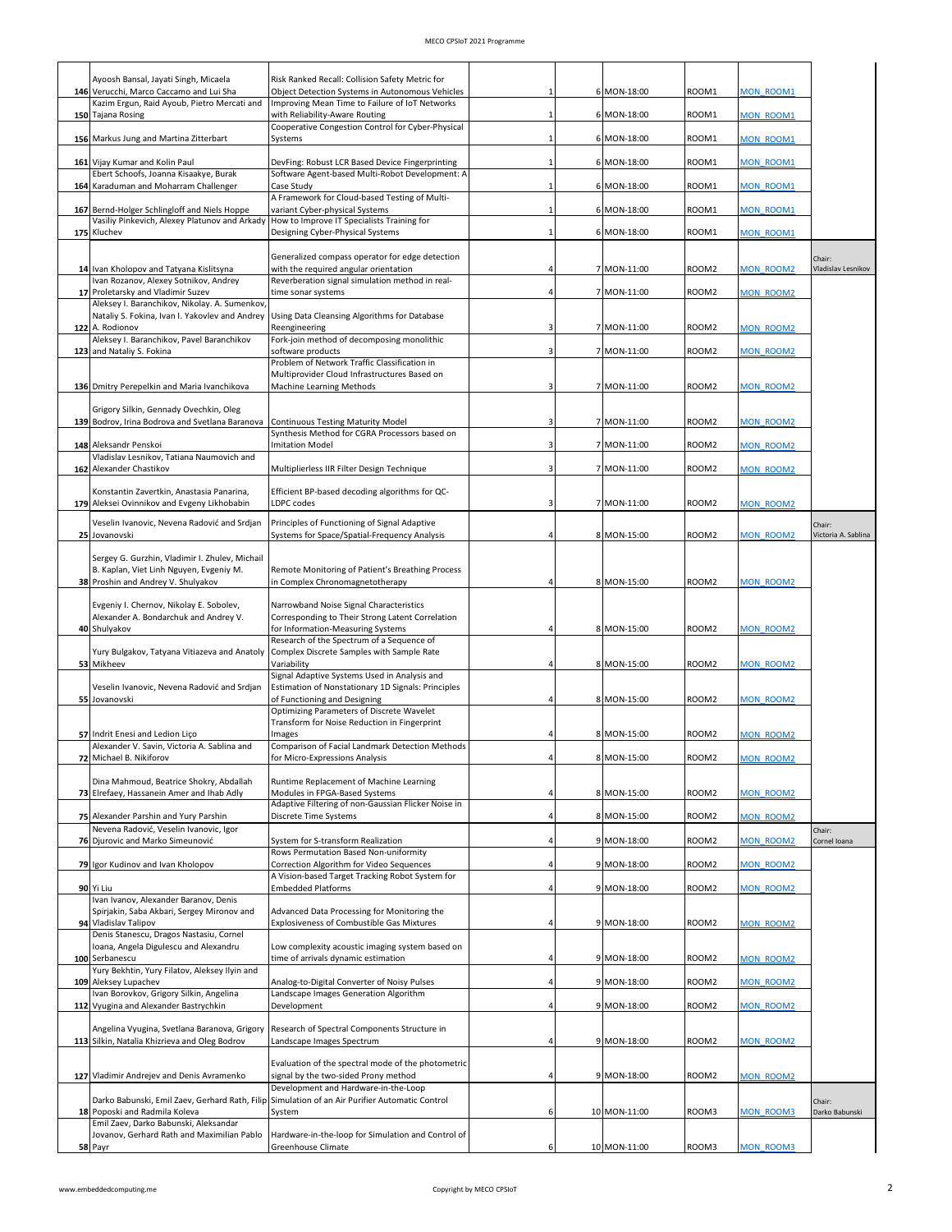|     | Ayoosh Bansal, Jayati Singh, Micaela<br>146 Verucchi, Marco Caccamo and Lui Sha               | Risk Ranked Recall: Collision Safety Metric for<br>Object Detection Systems in Autonomous Vehicles | 1            | 6 MON-18:00  | ROOM1             | <b>MON ROOM1</b> |                               |
|-----|-----------------------------------------------------------------------------------------------|----------------------------------------------------------------------------------------------------|--------------|--------------|-------------------|------------------|-------------------------------|
|     | Kazim Ergun, Raid Ayoub, Pietro Mercati and                                                   | Improving Mean Time to Failure of IoT Networks<br>with Reliability-Aware Routing                   | 1            |              |                   |                  |                               |
|     | 150 Tajana Rosing                                                                             | Cooperative Congestion Control for Cyber-Physical                                                  |              | 6 MON-18:00  | ROOM1             | MON ROOM1        |                               |
|     | 156 Markus Jung and Martina Zitterbart                                                        | Systems                                                                                            | 1            | 6 MON-18:00  | ROOM1             | <b>MON ROOM1</b> |                               |
|     | 161 Vijay Kumar and Kolin Paul<br>Ebert Schoofs, Joanna Kisaakye, Burak                       | DevFing: Robust LCR Based Device Fingerprinting<br>Software Agent-based Multi-Robot Development: A |              | 6 MON-18:00  | ROOM1             | <b>MON ROOM1</b> |                               |
|     | 164 Karaduman and Moharram Challenger                                                         | Case Study                                                                                         | $\mathbf{1}$ | 6 MON-18:00  | ROOM1             | <b>MON ROOM1</b> |                               |
|     | 167 Bernd-Holger Schlingloff and Niels Hoppe                                                  | A Framework for Cloud-based Testing of Multi-<br>variant Cyber-physical Systems                    | $\mathbf{1}$ | 6 MON-18:00  | ROOM1             | <b>MON ROOM1</b> |                               |
|     | Vasiliy Pinkevich, Alexey Platunov and Arkady<br>175 Kluchev                                  | How to Improve IT Specialists Training for<br>Designing Cyber-Physical Systems                     | $\mathbf{1}$ | 6 MON-18:00  | ROOM1             | <b>MON ROOM1</b> |                               |
|     |                                                                                               | Generalized compass operator for edge detection                                                    |              |              |                   |                  |                               |
|     | 14 Ivan Kholopov and Tatyana Kislitsyna                                                       | with the required angular orientation                                                              | Δ            | 7 MON-11:00  | ROOM2             | MON ROOM2        | Chair:<br>Vladislav Lesnikov  |
|     | Ivan Rozanov, Alexey Sotnikov, Andrey<br>17 Proletarsky and Vladimir Suzev                    | Reverberation signal simulation method in real-<br>time sonar systems                              |              | 7 MON-11:00  | ROOM2             | <b>MON ROOM2</b> |                               |
|     | Aleksey I. Baranchikov, Nikolay. A. Sumenkov,                                                 | Nataliy S. Fokina, Ivan I. Yakovlev and Andrey   Using Data Cleansing Algorithms for Database      |              |              |                   |                  |                               |
| 122 | A. Rodionov<br>Aleksey I. Baranchikov, Pavel Baranchikov                                      | Reengineering                                                                                      |              | 7 MON-11:00  | ROOM2             | <b>MON ROOM2</b> |                               |
|     | 123 and Nataliy S. Fokina                                                                     | Fork-join method of decomposing monolithic<br>software products                                    |              | 7 MON-11:00  | ROOM <sub>2</sub> | <b>MON ROOM2</b> |                               |
|     |                                                                                               | Problem of Network Traffic Classification in<br>Multiprovider Cloud Infrastructures Based on       |              |              |                   |                  |                               |
|     | 136 Dmitry Perepelkin and Maria Ivanchikova                                                   | Machine Learning Methods                                                                           | 3            | 7 MON-11:00  | ROOM <sub>2</sub> | <b>MON ROOM2</b> |                               |
|     | Grigory Silkin, Gennady Ovechkin, Oleg                                                        |                                                                                                    |              |              |                   |                  |                               |
|     | 139 Bodrov, Irina Bodrova and Svetlana Baranova                                               | <b>Continuous Testing Maturity Model</b><br>Synthesis Method for CGRA Processors based on          |              | 7 MON-11:00  | ROOM <sub>2</sub> | MON ROOM2        |                               |
|     | 148 Aleksandr Penskoi<br>Vladislav Lesnikov, Tatiana Naumovich and                            | <b>Imitation Model</b>                                                                             | 3            | 7 MON-11:00  | ROOM2             | MON ROOM2        |                               |
|     | 162 Alexander Chastikov                                                                       | Multiplierless IIR Filter Design Technique                                                         | 3            | 7 MON-11:00  | ROOM <sub>2</sub> | MON ROOM2        |                               |
|     | Konstantin Zavertkin, Anastasia Panarina,                                                     | Efficient BP-based decoding algorithms for QC-                                                     |              |              |                   |                  |                               |
|     | 179 Aleksei Ovinnikov and Evgeny Likhobabin                                                   | LDPC codes                                                                                         | 3            | 7 MON-11:00  | ROOM <sub>2</sub> | <b>MON ROOM2</b> |                               |
|     | Veselin Ivanovic, Nevena Radović and Srdjan<br>25 Jovanovski                                  | Principles of Functioning of Signal Adaptive<br>Systems for Space/Spatial-Frequency Analysis       |              | 8 MON-15:00  | ROOM2             | MON ROOM2        | Chair:<br>Victoria A. Sablina |
|     | Sergey G. Gurzhin, Vladimir I. Zhulev, Michail                                                |                                                                                                    |              |              |                   |                  |                               |
|     | B. Kaplan, Viet Linh Nguyen, Evgeniy M.                                                       | Remote Monitoring of Patient's Breathing Process                                                   |              |              | ROOM2             |                  |                               |
|     | 38 Proshin and Andrey V. Shulyakov                                                            | in Complex Chronomagnetotherapy                                                                    |              | 8 MON-15:00  |                   | <b>MON ROOM2</b> |                               |
|     | Evgeniy I. Chernov, Nikolay E. Sobolev,<br>Alexander A. Bondarchuk and Andrey V.              | Narrowband Noise Signal Characteristics<br>Corresponding to Their Strong Latent Correlation        |              |              |                   |                  |                               |
|     | 40 Shulyakov                                                                                  | for Information-Measuring Systems<br>Research of the Spectrum of a Sequence of                     | 4            | 8 MON-15:00  | ROOM <sub>2</sub> | <b>MON ROOM2</b> |                               |
|     | Yury Bulgakov, Tatyana Vitiazeva and Anatoly                                                  | Complex Discrete Samples with Sample Rate                                                          |              |              |                   |                  |                               |
|     | 53 Mikheev                                                                                    | Variability<br>Signal Adaptive Systems Used in Analysis and                                        |              | 8 MON-15:00  | ROOM <sub>2</sub> | <b>MON ROOM2</b> |                               |
|     | Veselin Ivanovic, Nevena Radović and Srdjan<br>55 Jovanovski                                  | Estimation of Nonstationary 1D Signals: Principles<br>of Functioning and Designing                 | 4            | 8 MON-15:00  | ROOM2             | <b>MON ROOM2</b> |                               |
|     |                                                                                               | Optimizing Parameters of Discrete Wavelet<br>Transform for Noise Reduction in Fingerprint          |              |              |                   |                  |                               |
|     | 57 Indrit Enesi and Ledion Lico                                                               | Images                                                                                             |              | 8 MON-15:00  | ROOM <sub>2</sub> | <b>MON ROOM2</b> |                               |
|     | Alexander V. Savin, Victoria A. Sablina and<br>72 Michael B. Nikiforov                        | Comparison of Facial Landmark Detection Methods<br>for Micro-Expressions Analysis                  |              | 8 MON-15:00  | <b>ROOM2</b>      | <b>MON ROOM2</b> |                               |
|     | Dina Mahmoud, Beatrice Shokry, Abdallah                                                       | Runtime Replacement of Machine Learning                                                            |              |              |                   |                  |                               |
|     | 73 Elrefaey, Hassanein Amer and Ihab Adly                                                     | Modules in FPGA-Based Systems<br>Adaptive Filtering of non-Gaussian Flicker Noise in               | 4            | 8 MON-15:00  | ROOM2             | <b>MON ROOM2</b> |                               |
|     | 75 Alexander Parshin and Yury Parshin                                                         | Discrete Time Systems                                                                              | 4            | 8 MON-15:00  | ROOM2             | <b>MON ROOM2</b> |                               |
|     | Nevena Radović, Veselin Ivanovic, Igor<br>76 Djurovic and Marko Simeunović                    | System for S-transform Realization                                                                 |              | 9 MON-18:00  | ROOM2             | MON ROOM2        | Chair:<br>Cornel Ioana        |
|     | 79 Igor Kudinov and Ivan Kholopov                                                             | Rows Permutation Based Non-uniformity<br>Correction Algorithm for Video Sequences                  | 4            | 9 MON-18:00  | ROOM2             | MON ROOM2        |                               |
|     |                                                                                               | A Vision-based Target Tracking Robot System for                                                    |              |              |                   |                  |                               |
|     | 90 Yi Liu<br>Ivan Ivanov, Alexander Baranov, Denis                                            | <b>Embedded Platforms</b>                                                                          |              | 9 MON-18:00  | ROOM <sub>2</sub> | MON ROOM2        |                               |
|     | Spirjakin, Saba Akbari, Sergey Mironov and<br>94 Vladislav Talipov                            | Advanced Data Processing for Monitoring the<br>Explosiveness of Combustible Gas Mixtures           | 4            | 9 MON-18:00  | ROOM2             | <b>MON ROOM2</b> |                               |
|     | Denis Stanescu, Dragos Nastasiu, Cornel<br>Ioana, Angela Digulescu and Alexandru              | Low complexity acoustic imaging system based on                                                    |              |              |                   |                  |                               |
|     | 100 Serbanescu                                                                                | time of arrivals dynamic estimation                                                                |              | 9 MON-18:00  | ROOM <sub>2</sub> | <b>MON ROOM2</b> |                               |
|     | Yury Bekhtin, Yury Filatov, Aleksey Ilyin and<br>109 Aleksey Lupachev                         | Analog-to-Digital Converter of Noisy Pulses                                                        |              | 9 MON-18:00  | ROOM2             | MON ROOM2        |                               |
|     | Ivan Borovkov, Grigory Silkin, Angelina<br>112 Vyugina and Alexander Bastrychkin              | Landscape Images Generation Algorithm<br>Development                                               |              | 9 MON-18:00  | ROOM2             | <b>MON ROOM2</b> |                               |
|     |                                                                                               |                                                                                                    |              |              |                   |                  |                               |
|     | Angelina Vyugina, Svetlana Baranova, Grigory<br>113 Silkin, Natalia Khizrieva and Oleg Bodrov | Research of Spectral Components Structure in<br>Landscape Images Spectrum                          | Δ            | 9 MON-18:00  | ROOM2             | MON ROOM2        |                               |
|     |                                                                                               | Evaluation of the spectral mode of the photometric                                                 |              |              |                   |                  |                               |
|     | 127 Vladimir Andrejev and Denis Avramenko                                                     | signal by the two-sided Prony method<br>Development and Hardware-in-the-Loop                       |              | 9 MON-18:00  | ROOM2             | <b>MON ROOM2</b> |                               |
|     |                                                                                               | Darko Babunski, Emil Zaev, Gerhard Rath, Filip Simulation of an Air Purifier Automatic Control     |              |              |                   |                  | Chair:                        |
|     | 18 Poposki and Radmila Koleva<br>Emil Zaev, Darko Babunski, Aleksandar                        | System                                                                                             | 6            | 10 MON-11:00 | ROOM3             | MON ROOM3        | Darko Babunski                |
|     | Jovanov, Gerhard Rath and Maximilian Pablo<br>58 Payr                                         | Hardware-in-the-loop for Simulation and Control of<br>Greenhouse Climate                           | 6            | 10 MON-11:00 | ROOM3             | MON ROOM3        |                               |
|     |                                                                                               |                                                                                                    |              |              |                   |                  |                               |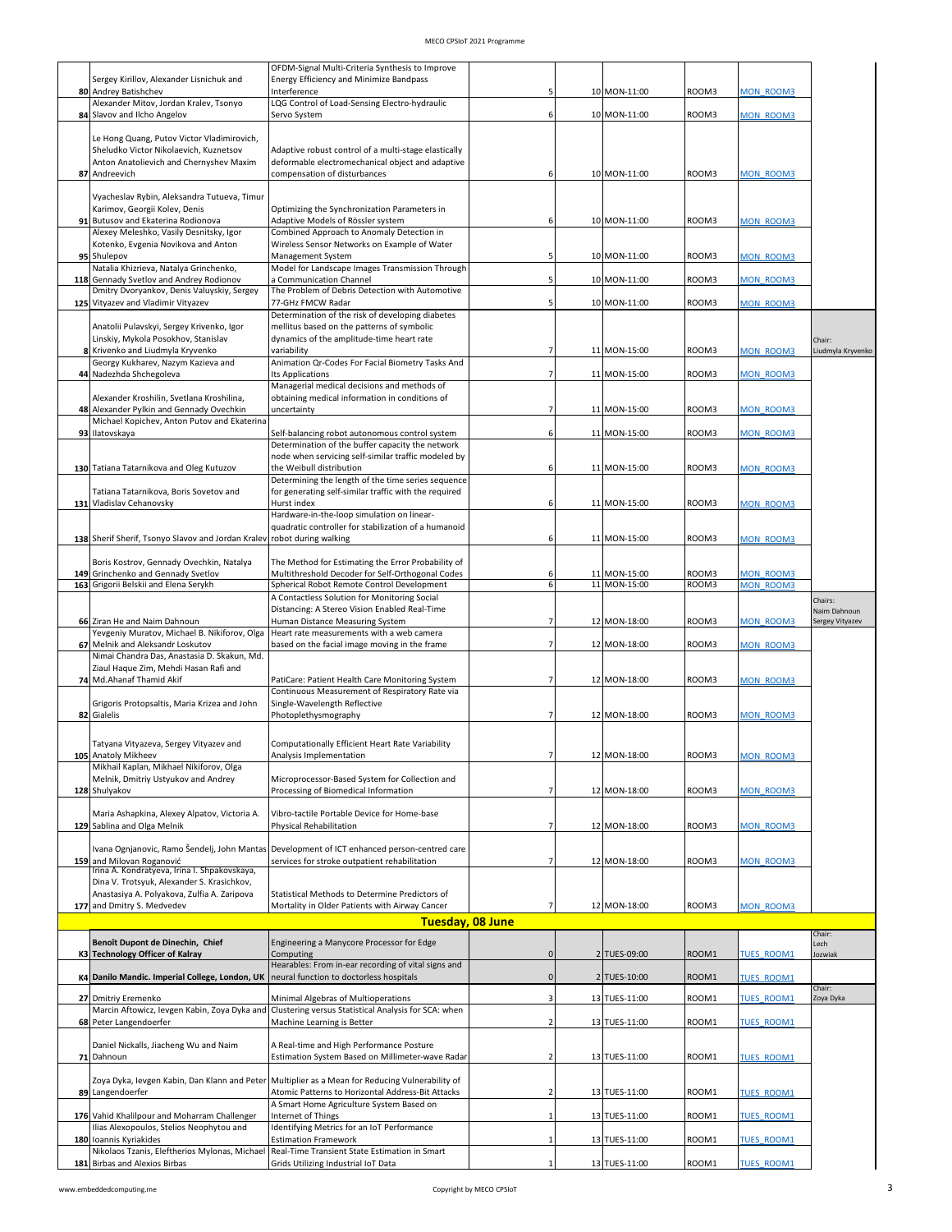|    |                                                                                            | OFDM-Signal Multi-Criteria Synthesis to Improve                                                          |              |               |       |                   |                             |
|----|--------------------------------------------------------------------------------------------|----------------------------------------------------------------------------------------------------------|--------------|---------------|-------|-------------------|-----------------------------|
|    | Sergey Kirillov, Alexander Lisnichuk and                                                   | Energy Efficiency and Minimize Bandpass                                                                  |              |               |       |                   |                             |
| 80 | Andrey Batishchev<br>Alexander Mitov, Jordan Kralev, Tsonyo                                | Interference<br>LQG Control of Load-Sensing Electro-hydraulic                                            | 5            | 10 MON-11:00  | ROOM3 | <b>MON ROOM3</b>  |                             |
|    | 84 Slavov and Ilcho Angelov                                                                | Servo System                                                                                             | 6            | 10 MON-11:00  | ROOM3 | MON ROOM3         |                             |
|    | Le Hong Quang, Putov Victor Vladimirovich,                                                 |                                                                                                          |              |               |       |                   |                             |
|    | Sheludko Victor Nikolaevich, Kuznetsov<br>Anton Anatolievich and Chernyshev Maxim          | Adaptive robust control of a multi-stage elastically<br>deformable electromechanical object and adaptive |              |               |       |                   |                             |
| 87 | Andreevich                                                                                 | compensation of disturbances                                                                             | 6            | 10 MON-11:00  | ROOM3 | <b>MON ROOM3</b>  |                             |
|    | Vyacheslav Rybin, Aleksandra Tutueva, Timur                                                |                                                                                                          |              |               |       |                   |                             |
|    | Karimov, Georgii Kolev, Denis<br>91 Butusov and Ekaterina Rodionova                        | Optimizing the Synchronization Parameters in<br>Adaptive Models of Rössler system                        | 6            | 10 MON-11:00  | ROOM3 | <b>MON ROOM3</b>  |                             |
|    | Alexey Meleshko, Vasily Desnitsky, Igor                                                    | Combined Approach to Anomaly Detection in                                                                |              |               |       |                   |                             |
|    | Kotenko, Evgenia Novikova and Anton<br>95 Shulepov                                         | Wireless Sensor Networks on Example of Water<br>Management System                                        |              | 10 MON-11:00  | ROOM3 | MON ROOM3         |                             |
|    | Natalia Khizrieva, Natalya Grinchenko,<br>118 Gennady Svetlov and Andrey Rodionov          | Model for Landscape Images Transmission Through                                                          |              |               |       | <b>MON ROOM3</b>  |                             |
|    | Dmitry Dvoryankov, Denis Valuyskiy, Sergey                                                 | a Communication Channel<br>The Problem of Debris Detection with Automotive                               | 5            | 10 MON-11:00  | ROOM3 |                   |                             |
|    | 125 Vityazev and Vladimir Vityazev                                                         | 77-GHz FMCW Radar<br>Determination of the risk of developing diabetes                                    | 5            | 10 MON-11:00  | ROOM3 | <b>MON ROOM3</b>  |                             |
|    | Anatolii Pulavskyi, Sergey Krivenko, Igor                                                  | mellitus based on the patterns of symbolic                                                               |              |               |       |                   |                             |
|    | Linskiy, Mykola Posokhov, Stanislav<br>8 Krivenko and Liudmyla Kryvenko                    | dynamics of the amplitude-time heart rate<br>variability                                                 | 7            | 11 MON-15:00  | ROOM3 | <b>MON ROOM3</b>  | Chair:<br>Liudmyla Kryvenko |
|    | Georgy Kukharev, Nazym Kazieva and                                                         | Animation Qr-Codes For Facial Biometry Tasks And                                                         |              |               |       |                   |                             |
|    | 44 Nadezhda Shchegoleva                                                                    | <b>Its Applications</b><br>Managerial medical decisions and methods of                                   | 7            | 11 MON-15:00  | ROOM3 | MON ROOM3         |                             |
| 48 | Alexander Kroshilin, Svetlana Kroshilina,<br>Alexander Pylkin and Gennady Ovechkin         | obtaining medical information in conditions of<br>uncertainty                                            | 7            | 11 MON-15:00  | ROOM3 | MON ROOM3         |                             |
|    | Michael Kopichev, Anton Putov and Ekaterina                                                |                                                                                                          |              |               |       |                   |                             |
|    | 93 Ilatovskaya                                                                             | Self-balancing robot autonomous control system<br>Determination of the buffer capacity the network       | 6            | 11 MON-15:00  | ROOM3 | MON ROOM3         |                             |
|    | 130 Tatiana Tatarnikova and Oleg Kutuzov                                                   | node when servicing self-similar traffic modeled by<br>the Weibull distribution                          | 6            | 11 MON-15:00  | ROOM3 | MON ROOM3         |                             |
|    |                                                                                            | Determining the length of the time series sequence                                                       |              |               |       |                   |                             |
|    | Tatiana Tatarnikova, Boris Sovetov and<br>131 Vladislav Cehanovsky                         | for generating self-similar traffic with the required<br>Hurst index                                     | 6            | 11 MON-15:00  | ROOM3 | MON ROOM3         |                             |
|    |                                                                                            | Hardware-in-the-loop simulation on linear-                                                               |              |               |       |                   |                             |
|    | 138 Sherif Sherif, Tsonyo Slavov and Jordan Kralev                                         | quadratic controller for stabilization of a humanoid<br>robot during walking                             | 6            | 11 MON-15:00  | ROOM3 | MON ROOM3         |                             |
|    |                                                                                            |                                                                                                          |              |               |       |                   |                             |
|    | Boris Kostrov, Gennady Ovechkin, Natalya<br>149 Grinchenko and Gennady Svetlov             | The Method for Estimating the Error Probability of<br>Multithreshold Decoder for Self-Orthogonal Codes   | 6            | 11 MON-15:00  | ROOM3 | <b>MON ROOM3</b>  |                             |
|    | 163 Grigorii Belskii and Elena Serykh                                                      | Spherical Robot Remote Control Development<br>A Contactless Solution for Monitoring Social               | 6            | 11 MON-15:00  | ROOM3 | <b>MON ROOM3</b>  |                             |
|    |                                                                                            | Distancing: A Stereo Vision Enabled Real-Time                                                            |              |               |       |                   | Chairs:<br>Naim Dahnoun     |
|    |                                                                                            |                                                                                                          |              |               |       |                   |                             |
|    | 66 Ziran He and Naim Dahnoun<br>Yevgeniy Muratov, Michael B. Nikiforov, Olga               | Human Distance Measuring System<br>Heart rate measurements with a web camera                             | 7            | 12 MON-18:00  | ROOM3 | MON ROOM3         | Sergey Vityazev             |
|    | 67 Melnik and Aleksandr Loskutov                                                           | based on the facial image moving in the frame                                                            | 7            | 12 MON-18:00  | ROOM3 | MON ROOM3         |                             |
|    | Nimai Chandra Das, Anastasia D. Skakun, Md.<br>Ziaul Haque Zim, Mehdi Hasan Rafi and       |                                                                                                          |              |               |       |                   |                             |
|    | 74 Md.Ahanaf Thamid Akif                                                                   | PatiCare: Patient Health Care Monitoring System                                                          | 7            | 12 MON-18:00  | ROOM3 | <b>MON ROOM3</b>  |                             |
|    | Grigoris Protopsaltis, Maria Krizea and John                                               | Continuous Measurement of Respiratory Rate via<br>Single-Wavelength Reflective                           |              |               |       |                   |                             |
|    | 82 Gialelis                                                                                | Photoplethysmography                                                                                     | 7            | 12 MON-18:00  | ROOM3 | <b>MON ROOM3</b>  |                             |
|    | Tatyana Vityazeva, Sergey Vityazev and                                                     | Computationally Efficient Heart Rate Variability                                                         |              |               |       |                   |                             |
|    | 105 Anatoly Mikheev<br>Mikhail Kaplan, Mikhael Nikiforov, Olga                             | Analysis Implementation                                                                                  |              | 12 MON-18:00  | ROOM3 | <b>MON ROOM3</b>  |                             |
|    | Melnik, Dmitriy Ustyukov and Andrey                                                        | Microprocessor-Based System for Collection and                                                           |              |               |       |                   |                             |
|    | 128 Shulyakov                                                                              | Processing of Biomedical Information                                                                     | 7            | 12 MON-18:00  | ROOM3 | <b>MON ROOM3</b>  |                             |
|    | Maria Ashapkina, Alexey Alpatov, Victoria A.                                               | Vibro-tactile Portable Device for Home-base                                                              | 7            |               |       |                   |                             |
|    | 129 Sablina and Olga Melnik                                                                | <b>Physical Rehabilitation</b>                                                                           |              | 12 MON-18:00  | ROOM3 | MON ROOM3         |                             |
|    | Ivana Ognjanovic, Ramo Šendelj, John Mantas<br>159 and Milovan Roganović                   | Development of ICT enhanced person-centred care<br>services for stroke outpatient rehabilitation         |              | 12 MON-18:00  | ROOM3 | MON ROOM3         |                             |
|    | Irina A. Kondratyeva, Irina I. Shpakovskaya,<br>Dina V. Trotsyuk, Alexander S. Krasichkov, |                                                                                                          |              |               |       |                   |                             |
|    | Anastasiya A. Polyakova, Zulfia A. Zaripova                                                | Statistical Methods to Determine Predictors of                                                           |              |               |       |                   |                             |
|    | 177 and Dmitry S. Medvedev                                                                 | Mortality in Older Patients with Airway Cancer                                                           | 7            | 12 MON-18:00  | ROOM3 | MON ROOM3         |                             |
|    |                                                                                            | Tuesday, 08 June                                                                                         |              |               |       |                   | Chair:                      |
|    | Benoît Dupont de Dinechin, Chief<br>K3 Technology Officer of Kalray                        | Engineering a Manycore Processor for Edge<br>Computing                                                   | $\mathbf{0}$ | 2 TUES-09:00  | ROOM1 | <b>TUES ROOM1</b> | Lech<br>Jozwiak             |
|    | K4 Danilo Mandic. Imperial College, London, UK                                             | Hearables: From in-ear recording of vital signs and<br>neural function to doctorless hospitals           | $\mathbf 0$  | 2 TUES-10:00  | ROOM1 | <b>TUES ROOM1</b> |                             |
|    |                                                                                            |                                                                                                          | Э            |               |       |                   | Chair:                      |
|    | 27 Dmitriy Eremenko<br>Marcin Aftowicz, levgen Kabin, Zoya Dyka and                        | Minimal Algebras of Multioperations<br>Clustering versus Statistical Analysis for SCA: when              |              | 13 TUES-11:00 | ROOM1 | TUES ROOM1        | Zoya Dyka                   |
|    | 68 Peter Langendoerfer                                                                     | Machine Learning is Better                                                                               | 2            | 13 TUES-11:00 | ROOM1 | <b>TUES ROOM1</b> |                             |
|    | Daniel Nickalls, Jiacheng Wu and Naim                                                      | A Real-time and High Performance Posture                                                                 |              |               |       |                   |                             |
|    | 71 Dahnoun                                                                                 | Estimation System Based on Millimeter-wave Radar                                                         |              | 13 TUES-11:00 | ROOM1 | <b>TUES ROOM1</b> |                             |
|    |                                                                                            | Zoya Dyka, levgen Kabin, Dan Klann and Peter Multiplier as a Mean for Reducing Vulnerability of          |              |               |       |                   |                             |
|    | 89 Langendoerfer                                                                           | Atomic Patterns to Horizontal Address-Bit Attacks<br>A Smart Home Agriculture System Based on            |              | 13 TUES-11:00 | ROOM1 | <b>TUES ROOM1</b> |                             |
|    | 176 Vahid Khalilpour and Moharram Challenger<br>Ilias Alexopoulos, Stelios Neophytou and   | Internet of Things<br>Identifying Metrics for an IoT Performance                                         |              | 13 TUES-11:00 | ROOM1 | <b>TUES ROOM1</b> |                             |
|    | 180 Ioannis Kyriakides<br>Nikolaos Tzanis, Eleftherios Mylonas, Michael                    | <b>Estimation Framework</b><br>Real-Time Transient State Estimation in Smart                             |              | 13 TUES-11:00 | ROOM1 | <b>TUES ROOM1</b> |                             |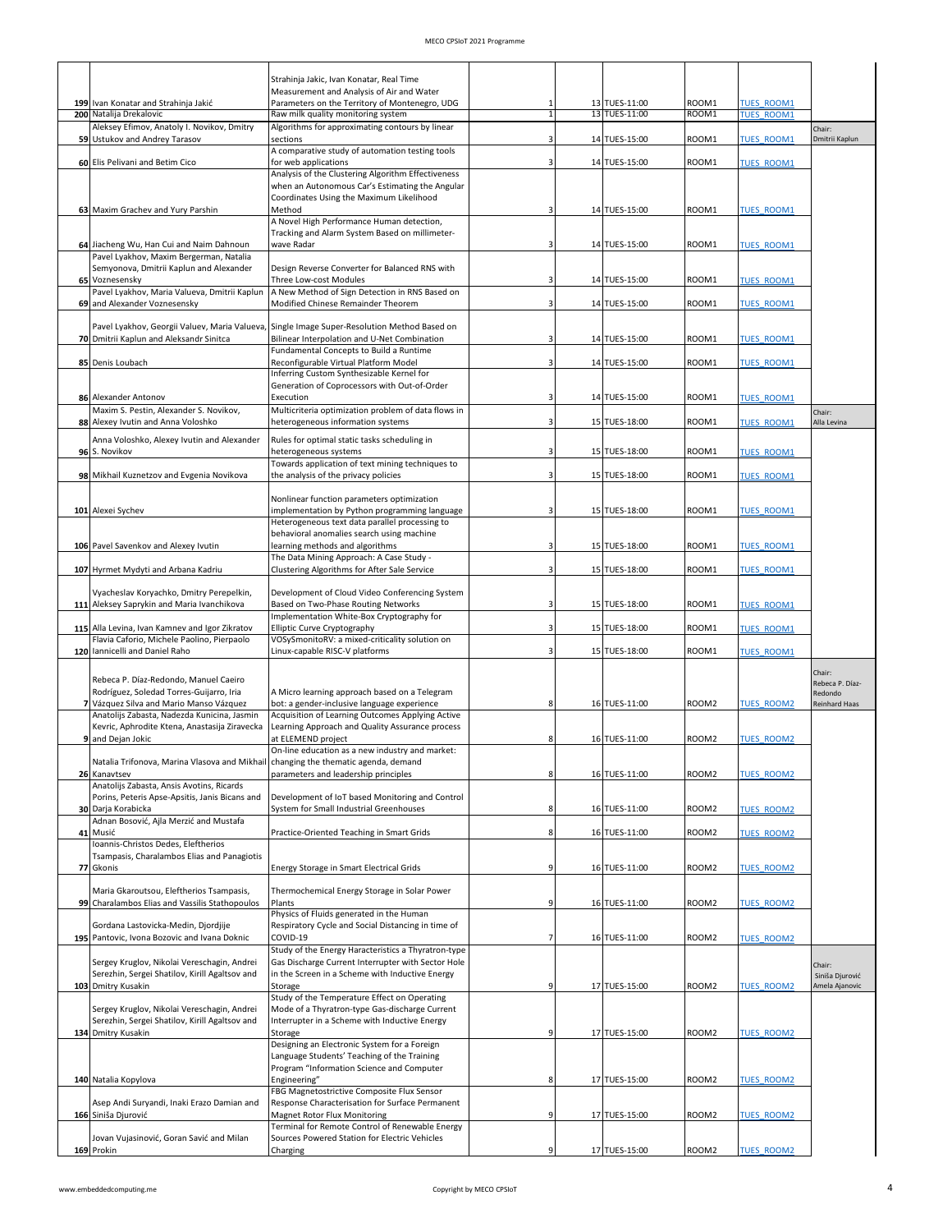|                                                                                              | Strahinja Jakic, Ivan Konatar, Real Time                                                                  |   |                                |                   |                                        |                            |
|----------------------------------------------------------------------------------------------|-----------------------------------------------------------------------------------------------------------|---|--------------------------------|-------------------|----------------------------------------|----------------------------|
|                                                                                              | Measurement and Analysis of Air and Water                                                                 |   |                                |                   |                                        |                            |
| 199 Ivan Konatar and Strahinja Jakić<br>200 Natalija Drekalovic                              | Parameters on the Territory of Montenegro, UDG<br>Raw milk quality monitoring system                      |   | 13 TUES-11:00<br>13 TUES-11:00 | ROOM1<br>ROOM1    | <b>TUES ROOM1</b><br><b>TUES ROOM1</b> |                            |
| Aleksey Efimov, Anatoly I. Novikov, Dmitry                                                   | Algorithms for approximating contours by linear                                                           |   |                                |                   |                                        | Chair:                     |
| 59 Ustukov and Andrey Tarasov                                                                | sections<br>A comparative study of automation testing tools                                               |   | 14 TUES-15:00                  | ROOM1             | <b>TUES ROOM1</b>                      | Dmitrii Kaplun             |
| 60 Elis Pelivani and Betim Cico                                                              | for web applications                                                                                      |   | 14 TUES-15:00                  | ROOM1             | <b>TUES ROOM1</b>                      |                            |
|                                                                                              | Analysis of the Clustering Algorithm Effectiveness<br>when an Autonomous Car's Estimating the Angular     |   |                                |                   |                                        |                            |
|                                                                                              | Coordinates Using the Maximum Likelihood                                                                  |   |                                |                   |                                        |                            |
| 63 Maxim Grachev and Yury Parshin                                                            | Method<br>A Novel High Performance Human detection,                                                       |   | 14 TUES-15:00                  | ROOM1             | <b>TUES ROOM1</b>                      |                            |
|                                                                                              | Tracking and Alarm System Based on millimeter-                                                            |   |                                |                   |                                        |                            |
| 64 Jiacheng Wu, Han Cui and Naim Dahnoun<br>Pavel Lyakhov, Maxim Bergerman, Natalia          | wave Radar                                                                                                | 3 | 14 TUES-15:00                  | ROOM1             | <b>TUES ROOM1</b>                      |                            |
| Semyonova, Dmitrii Kaplun and Alexander                                                      | Design Reverse Converter for Balanced RNS with                                                            |   |                                |                   |                                        |                            |
| 65 Voznesensky<br>Pavel Lyakhov, Maria Valueva, Dmitrii Kaplun                               | Three Low-cost Modules<br>A New Method of Sign Detection in RNS Based on                                  |   | 14 TUES-15:00                  | ROOM1             | <b>TUES ROOM1</b>                      |                            |
| 69 and Alexander Voznesensky                                                                 | Modified Chinese Remainder Theorem                                                                        | Э | 14 TUES-15:00                  | ROOM1             | <b>TUES ROOM1</b>                      |                            |
|                                                                                              | Pavel Lyakhov, Georgii Valuev, Maria Valueva, Single Image Super-Resolution Method Based on               |   |                                |                   |                                        |                            |
| 70 Dmitrii Kaplun and Aleksandr Sinitca                                                      | Bilinear Interpolation and U-Net Combination                                                              | 3 | 14 TUES-15:00                  | ROOM1             | <b>TUES ROOM1</b>                      |                            |
| 85 Denis Loubach                                                                             | Fundamental Concepts to Build a Runtime<br>Reconfigurable Virtual Platform Model                          |   | 14 TUES-15:00                  | ROOM1             | <b>TUES ROOM1</b>                      |                            |
|                                                                                              | Inferring Custom Synthesizable Kernel for                                                                 |   |                                |                   |                                        |                            |
| 86 Alexander Antonov                                                                         | Generation of Coprocessors with Out-of-Order<br>Execution                                                 |   | 14 TUES-15:00                  | ROOM1             | <b>TUES ROOM1</b>                      |                            |
| Maxim S. Pestin, Alexander S. Novikov,                                                       | Multicriteria optimization problem of data flows in                                                       |   |                                |                   |                                        | Chair:                     |
| 88 Alexey Ivutin and Anna Voloshko                                                           | heterogeneous information systems                                                                         | Э | 15 TUES-18:00                  | ROOM1             | <b>TUES ROOM1</b>                      | Alla Levina                |
| Anna Voloshko, Alexey Ivutin and Alexander<br>96 S. Novikov                                  | Rules for optimal static tasks scheduling in                                                              |   | 15 TUES-18:00                  |                   |                                        |                            |
|                                                                                              | heterogeneous systems<br>Towards application of text mining techniques to                                 |   |                                | ROOM1             | <b>TUES ROOM1</b>                      |                            |
| 98 Mikhail Kuznetzov and Evgenia Novikova                                                    | the analysis of the privacy policies                                                                      |   | 15 TUES-18:00                  | ROOM1             | <b>TUES ROOM1</b>                      |                            |
|                                                                                              | Nonlinear function parameters optimization                                                                |   |                                |                   |                                        |                            |
| 101 Alexei Sychev                                                                            | implementation by Python programming language<br>Heterogeneous text data parallel processing to           |   | 15 TUES-18:00                  | ROOM1             | <b>TUES ROOM1</b>                      |                            |
|                                                                                              | behavioral anomalies search using machine                                                                 |   |                                |                   |                                        |                            |
| 106 Pavel Savenkov and Alexey Ivutin                                                         | learning methods and algorithms                                                                           |   | 15 TUES-18:00                  | ROOM1             | <b>TUES ROOM1</b>                      |                            |
| 107 Hyrmet Mydyti and Arbana Kadriu                                                          | The Data Mining Approach: A Case Study -<br>Clustering Algorithms for After Sale Service                  |   | 15 TUES-18:00                  | ROOM1             | <b>TUES ROOM1</b>                      |                            |
|                                                                                              |                                                                                                           |   |                                |                   |                                        |                            |
| Vyacheslav Koryachko, Dmitry Perepelkin,<br>111 Aleksey Saprykin and Maria Ivanchikova       | Development of Cloud Video Conferencing System<br>Based on Two-Phase Routing Networks                     | Э | 15 TUES-18:00                  | ROOM1             | <b>TUES ROOM1</b>                      |                            |
|                                                                                              | Implementation White-Box Cryptography for                                                                 |   |                                |                   |                                        |                            |
| 115 Alla Levina, Ivan Kamnev and Igor Zikratov<br>Flavia Caforio, Michele Paolino, Pierpaolo | Elliptic Curve Cryptography<br>VOSySmonitoRV: a mixed-criticality solution on                             | 3 | 15 TUES-18:00                  | ROOM1             | <b>TUES ROOM1</b>                      |                            |
| 120 Iannicelli and Daniel Raho                                                               | Linux-capable RISC-V platforms                                                                            |   | 15 TUES-18:00                  | ROOM1             | <b>TUES ROOM1</b>                      |                            |
| Rebeca P. Díaz-Redondo, Manuel Caeiro                                                        |                                                                                                           |   |                                |                   |                                        | Chair:                     |
| Rodríguez, Soledad Torres-Guijarro, Iria                                                     | A Micro learning approach based on a Telegram                                                             |   |                                |                   |                                        | Rebeca P. Díaz-<br>Redondo |
| 7 Vázquez Silva and Mario Manso Vázquez<br>Anatolijs Zabasta, Nadezda Kunicina, Jasmin       | bot: a gender-inclusive language experience<br>Acquisition of Learning Outcomes Applying Active           |   | 16 TUES-11:00                  | ROOM2             | <b>TUES ROOM2</b>                      | Reinhard Haas              |
| Kevric, Aphrodite Ktena, Anastasija Ziravecka                                                | Learning Approach and Quality Assurance process                                                           |   |                                |                   |                                        |                            |
| 9 and Dejan Jokic                                                                            | at ELEMEND project<br>On-line education as a new industry and market:                                     |   | 16 TUES-11:00                  | ROOM2             | <b>TUES ROOM2</b>                      |                            |
| Natalia Trifonova, Marina Vlasova and Mikhail changing the thematic agenda, demand           |                                                                                                           |   |                                |                   |                                        |                            |
| 26 Kanavtsev<br>Anatolijs Zabasta, Ansis Avotins, Ricards                                    | parameters and leadership principles                                                                      | 8 | 16 TUES-11:00                  | ROOM2             | <b>TUES ROOM2</b>                      |                            |
| Porins, Peteris Apse-Apsitis, Janis Bicans and                                               | Development of IoT based Monitoring and Control                                                           |   |                                |                   |                                        |                            |
| 30 Darja Korabicka<br>Adnan Bosović, Ajla Merzić and Mustafa                                 | System for Small Industrial Greenhouses                                                                   | 8 | 16 TUES-11:00                  | ROOM <sub>2</sub> | <b>TUES ROOM2</b>                      |                            |
| 41 Musić                                                                                     | Practice-Oriented Teaching in Smart Grids                                                                 | 8 | 16 TUES-11:00                  | ROOM2             | <b>TUES ROOM2</b>                      |                            |
| Ioannis-Christos Dedes, Eleftherios<br>Tsampasis, Charalambos Elias and Panagiotis           |                                                                                                           |   |                                |                   |                                        |                            |
| 77 Gkonis                                                                                    | Energy Storage in Smart Electrical Grids                                                                  | C | 16 TUES-11:00                  | ROOM2             | <b>TUES ROOM2</b>                      |                            |
| Maria Gkaroutsou, Eleftherios Tsampasis,                                                     | Thermochemical Energy Storage in Solar Power                                                              |   |                                |                   |                                        |                            |
| 99 Charalambos Elias and Vassilis Stathopoulos                                               | Plants                                                                                                    | C | 16 TUES-11:00                  | ROOM <sub>2</sub> | <b>TUES ROOM2</b>                      |                            |
| Gordana Lastovicka-Medin, Djordjije                                                          | Physics of Fluids generated in the Human<br>Respiratory Cycle and Social Distancing in time of            |   |                                |                   |                                        |                            |
| 195 Pantovic, Ivona Bozovic and Ivana Doknic                                                 | COVID-19                                                                                                  |   | 16 TUES-11:00                  | ROOM2             | <b>TUES ROOM2</b>                      |                            |
| Sergey Kruglov, Nikolai Vereschagin, Andrei                                                  | Study of the Energy Haracteristics a Thyratron-type<br>Gas Discharge Current Interrupter with Sector Hole |   |                                |                   |                                        | Chair:                     |
| Serezhin, Sergei Shatilov, Kirill Agaltsov and                                               | in the Screen in a Scheme with Inductive Energy                                                           |   |                                |                   |                                        | Siniša Djurović            |
| 103 Dmitry Kusakin                                                                           | Storage<br>Study of the Temperature Effect on Operating                                                   | q | 17 TUES-15:00                  | ROOM2             | <b>TUES ROOM2</b>                      | Amela Ajanovic             |
| Sergey Kruglov, Nikolai Vereschagin, Andrei                                                  | Mode of a Thyratron-type Gas-discharge Current                                                            |   |                                |                   |                                        |                            |
| Serezhin, Sergei Shatilov, Kirill Agaltsov and<br>134 Dmitry Kusakin                         | Interrupter in a Scheme with Inductive Energy<br>Storage                                                  | q | 17 TUES-15:00                  | ROOM2             | <b>TUES ROOM2</b>                      |                            |
|                                                                                              | Designing an Electronic System for a Foreign                                                              |   |                                |                   |                                        |                            |
|                                                                                              | Language Students' Teaching of the Training<br>Program "Information Science and Computer                  |   |                                |                   |                                        |                            |
| 140 Natalia Kopylova                                                                         | Engineering"                                                                                              | 8 | 17 TUES-15:00                  | ROOM <sub>2</sub> | <b>TUES ROOM2</b>                      |                            |
| Asep Andi Suryandi, Inaki Erazo Damian and                                                   | FBG Magnetostrictive Composite Flux Sensor<br>Response Characterisation for Surface Permanent             |   |                                |                   |                                        |                            |
| 166 Siniša Djurović                                                                          | <b>Magnet Rotor Flux Monitoring</b>                                                                       | q | 17 TUES-15:00                  | ROOM2             | <b>TUES ROOM2</b>                      |                            |
| Jovan Vujasinović, Goran Savić and Milan                                                     | Terminal for Remote Control of Renewable Energy<br>Sources Powered Station for Electric Vehicles          |   |                                |                   |                                        |                            |
| 169 Prokin                                                                                   | Charging                                                                                                  | q | 17 TUES-15:00                  | ROOM2             | <b>TUES ROOM2</b>                      |                            |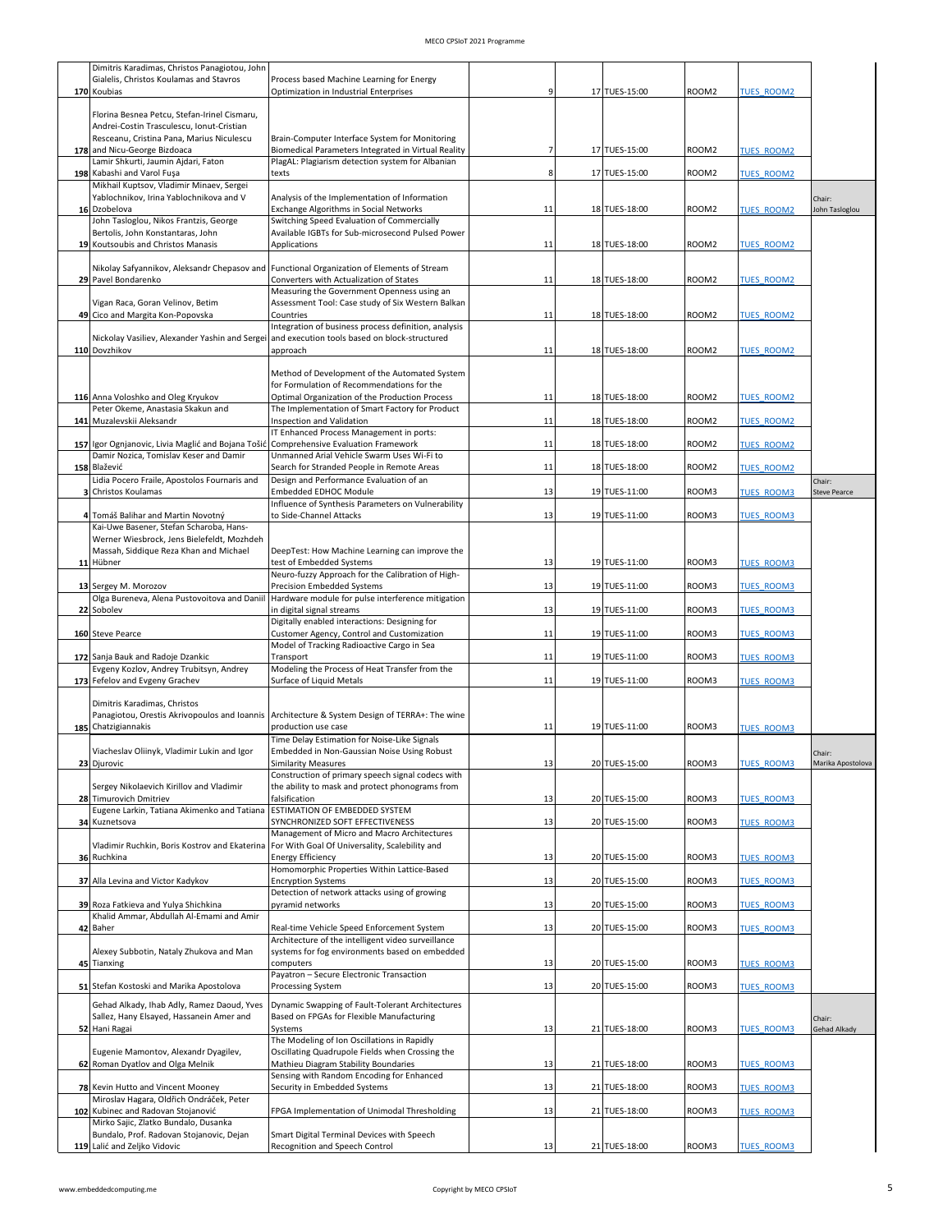| Dimitris Karadimas, Christos Panagiotou, John                                             |                                                                                                                        |    |               |                   |                   |                     |
|-------------------------------------------------------------------------------------------|------------------------------------------------------------------------------------------------------------------------|----|---------------|-------------------|-------------------|---------------------|
| Gialelis, Christos Koulamas and Stavros                                                   | Process based Machine Learning for Energy                                                                              |    |               |                   |                   |                     |
| 170 Koubias                                                                               | Optimization in Industrial Enterprises                                                                                 |    | 17 TUES-15:00 | ROOM <sub>2</sub> | <b>TUES ROOM2</b> |                     |
|                                                                                           |                                                                                                                        |    |               |                   |                   |                     |
| Florina Besnea Petcu, Stefan-Irinel Cismaru,<br>Andrei-Costin Trasculescu, Ionut-Cristian |                                                                                                                        |    |               |                   |                   |                     |
| Resceanu, Cristina Pana, Marius Niculescu                                                 | Brain-Computer Interface System for Monitoring                                                                         |    |               |                   |                   |                     |
| 178 and Nicu-George Bizdoaca                                                              | Biomedical Parameters Integrated in Virtual Reality                                                                    |    | 17 TUES-15:00 | ROOM2             | <b>TUES ROOM2</b> |                     |
| Lamir Shkurti, Jaumin Ajdari, Faton                                                       | PlagAL: Plagiarism detection system for Albanian                                                                       |    |               |                   |                   |                     |
| 198 Kabashi and Varol Fuşa                                                                | texts                                                                                                                  |    | 17 TUES-15:00 | ROOM <sub>2</sub> | <b>TUES ROOM2</b> |                     |
| Mikhail Kuptsov, Vladimir Minaev, Sergei                                                  |                                                                                                                        |    |               |                   |                   |                     |
| Yablochnikov, Irina Yablochnikova and V                                                   | Analysis of the Implementation of Information                                                                          |    |               |                   |                   | Chair:              |
| 16 Dzobelova                                                                              | Exchange Algorithms in Social Networks                                                                                 | 11 | 18 TUES-18:00 | ROOM <sub>2</sub> | <b>TUES ROOM2</b> | John Tasloglou      |
| John Tasloglou, Nikos Frantzis, George<br>Bertolis, John Konstantaras, John               | Switching Speed Evaluation of Commercially<br>Available IGBTs for Sub-microsecond Pulsed Power                         |    |               |                   |                   |                     |
| 19 Koutsoubis and Christos Manasis                                                        | Applications                                                                                                           | 11 | 18 TUES-18:00 | ROOM2             | <b>TUES ROOM2</b> |                     |
|                                                                                           |                                                                                                                        |    |               |                   |                   |                     |
|                                                                                           | Nikolay Safyannikov, Aleksandr Chepasov and Functional Organization of Elements of Stream                              |    |               |                   |                   |                     |
| 29 Pavel Bondarenko                                                                       | Converters with Actualization of States                                                                                | 11 | 18 TUES-18:00 | ROOM2             | <b>TUES ROOM2</b> |                     |
|                                                                                           | Measuring the Government Openness using an                                                                             |    |               |                   |                   |                     |
| Vigan Raca, Goran Velinov, Betim                                                          | Assessment Tool: Case study of Six Western Balkan                                                                      |    |               |                   |                   |                     |
| 49 Cico and Margita Kon-Popovska                                                          | Countries<br>Integration of business process definition, analysis                                                      | 11 | 18 TUES-18:00 | ROOM <sub>2</sub> | <b>TUES ROOM2</b> |                     |
|                                                                                           | Nickolay Vasiliev, Alexander Yashin and Sergei and execution tools based on block-structured                           |    |               |                   |                   |                     |
| 110 Dovzhikov                                                                             | approach                                                                                                               | 11 | 18 TUES-18:00 | ROOM2             | <b>TUES ROOM2</b> |                     |
|                                                                                           |                                                                                                                        |    |               |                   |                   |                     |
|                                                                                           | Method of Development of the Automated System                                                                          |    |               |                   |                   |                     |
|                                                                                           | for Formulation of Recommendations for the                                                                             |    |               |                   |                   |                     |
| 116 Anna Voloshko and Oleg Kryukov                                                        | Optimal Organization of the Production Process                                                                         | 11 | 18 TUES-18:00 | ROOM <sub>2</sub> | <b>TUES ROOM2</b> |                     |
| Peter Okeme, Anastasia Skakun and<br>141 Muzalevskii Aleksandr                            | The Implementation of Smart Factory for Product                                                                        |    |               |                   |                   |                     |
|                                                                                           | Inspection and Validation<br>IT Enhanced Process Management in ports:                                                  | 11 | 18 TUES-18:00 | ROOM2             | <b>TUES ROOM2</b> |                     |
| 157 Igor Ognjanovic, Livia Maglić and Bojana Tošić                                        | <b>Comprehensive Evaluation Framework</b>                                                                              | 11 | 18 TUES-18:00 | ROOM2             | <b>TUES ROOM2</b> |                     |
| Damir Nozica, Tomislav Keser and Damir                                                    | Unmanned Arial Vehicle Swarm Uses Wi-Fi to                                                                             |    |               |                   |                   |                     |
| 158 Blažević                                                                              | Search for Stranded People in Remote Areas                                                                             | 11 | 18 TUES-18:00 | ROOM2             | <b>TUES ROOM2</b> |                     |
| Lidia Pocero Fraile, Apostolos Fournaris and                                              | Design and Performance Evaluation of an                                                                                |    |               |                   |                   | Chair:              |
| 3 Christos Koulamas                                                                       | Embedded EDHOC Module                                                                                                  | 13 | 19 TUES-11:00 | ROOM3             | <b>TUES ROOM3</b> | <b>Steve Pearce</b> |
|                                                                                           | Influence of Synthesis Parameters on Vulnerability                                                                     |    |               |                   |                   |                     |
| 4 Tomáš Balihar and Martin Novotný                                                        | to Side-Channel Attacks                                                                                                | 13 | 19 TUES-11:00 | ROOM3             | <b>TUES ROOM3</b> |                     |
| Kai-Uwe Basener, Stefan Scharoba, Hans-<br>Werner Wiesbrock, Jens Bielefeldt, Mozhdeh     |                                                                                                                        |    |               |                   |                   |                     |
| Massah, Siddique Reza Khan and Michael                                                    | DeepTest: How Machine Learning can improve the                                                                         |    |               |                   |                   |                     |
| 11 Hübner                                                                                 | test of Embedded Systems                                                                                               | 13 | 19 TUES-11:00 | ROOM3             | <b>TUES ROOM3</b> |                     |
|                                                                                           | Neuro-fuzzy Approach for the Calibration of High-                                                                      |    |               |                   |                   |                     |
| 13 Sergey M. Morozov                                                                      | Precision Embedded Systems                                                                                             | 13 | 19 TUES-11:00 | ROOM3             | <b>TUES ROOM3</b> |                     |
| Olga Bureneva, Alena Pustovoitova and Daniil                                              | Hardware module for pulse interference mitigation                                                                      |    |               |                   |                   |                     |
| 22 Sobolev                                                                                | in digital signal streams                                                                                              | 13 | 19 TUES-11:00 | ROOM3             | <b>TUES ROOM3</b> |                     |
| 160 Steve Pearce                                                                          | Digitally enabled interactions: Designing for<br>Customer Agency, Control and Customization                            | 11 | 19 TUES-11:00 | ROOM3             | <b>TUES ROOM3</b> |                     |
|                                                                                           | Model of Tracking Radioactive Cargo in Sea                                                                             |    |               |                   |                   |                     |
| 172 Sanja Bauk and Radoje Dzankic                                                         | Transport                                                                                                              | 11 | 19 TUES-11:00 | ROOM3             | <b>TUES ROOM3</b> |                     |
| Evgeny Kozlov, Andrey Trubitsyn, Andrey                                                   | Modeling the Process of Heat Transfer from the                                                                         |    |               |                   |                   |                     |
| 173 Fefelov and Evgeny Grachev                                                            | Surface of Liquid Metals                                                                                               | 11 | 19 TUES-11:00 | ROOM3             | <b>TUES ROOM3</b> |                     |
|                                                                                           |                                                                                                                        |    |               |                   |                   |                     |
| Dimitris Karadimas, Christos                                                              |                                                                                                                        |    |               |                   |                   |                     |
| 185 Chatzigiannakis                                                                       | Panagiotou, Orestis Akrivopoulos and Ioannis   Architecture & System Design of TERRA+: The wine<br>production use case | 11 | 19 TUES-11:00 | ROOM3             | <b>TUES ROOM3</b> |                     |
|                                                                                           | Time Delay Estimation for Noise-Like Signals                                                                           |    |               |                   |                   |                     |
| Viacheslav Oliinyk, Vladimir Lukin and Igor                                               | Embedded in Non-Gaussian Noise Using Robust                                                                            |    |               |                   |                   | Chair:              |
| 23 Djurovic                                                                               | <b>Similarity Measures</b>                                                                                             | 13 | 20 TUES-15:00 | ROOM3             | <b>TUES ROOM3</b> | Marika Apostolova   |
|                                                                                           | Construction of primary speech signal codecs with                                                                      |    |               |                   |                   |                     |
| Sergey Nikolaevich Kirillov and Vladimir                                                  | the ability to mask and protect phonograms from                                                                        |    |               |                   |                   |                     |
| 28 Timurovich Dmitriev                                                                    | falsification                                                                                                          | 13 | 20 TUES-15:00 | ROOM3             | <b>TUES ROOM3</b> |                     |
| Eugene Larkin, Tatiana Akimenko and Tatiana                                               | ESTIMATION OF EMBEDDED SYSTEM                                                                                          |    |               |                   |                   |                     |
| 34 Kuznetsova                                                                             | SYNCHRONIZED SOFT EFFECTIVENESS<br>Management of Micro and Macro Architectures                                         | 13 | 20 TUES-15:00 | ROOM3             | <b>TUES ROOM3</b> |                     |
| Vladimir Ruchkin, Boris Kostrov and Ekaterina                                             | For With Goal Of Universality, Scalebility and                                                                         |    |               |                   |                   |                     |
| 36 Ruchkina                                                                               | <b>Energy Efficiency</b>                                                                                               | 13 | 20 TUES-15:00 | ROOM3             | <b>TUES ROOM3</b> |                     |
|                                                                                           | Homomorphic Properties Within Lattice-Based                                                                            |    |               |                   |                   |                     |
| 37 Alla Levina and Victor Kadykov                                                         | <b>Encryption Systems</b>                                                                                              | 13 | 20 TUES-15:00 | ROOM3             | <b>TUES ROOM3</b> |                     |
|                                                                                           | Detection of network attacks using of growing                                                                          |    |               |                   |                   |                     |
| 39 Roza Fatkieva and Yulya Shichkina                                                      | pyramid networks                                                                                                       | 13 | 20 TUES-15:00 | ROOM3             | <b>TUES ROOM3</b> |                     |
| Khalid Ammar, Abdullah Al-Emami and Amir<br>42 Baher                                      | Real-time Vehicle Speed Enforcement System                                                                             | 13 | 20 TUES-15:00 | ROOM3             | <b>TUES ROOM3</b> |                     |
|                                                                                           | Architecture of the intelligent video surveillance                                                                     |    |               |                   |                   |                     |
| Alexey Subbotin, Nataly Zhukova and Man                                                   | systems for fog environments based on embedded                                                                         |    |               |                   |                   |                     |
| 45 Tianxing                                                                               | computers                                                                                                              | 13 | 20 TUES-15:00 | ROOM3             | <b>TUES ROOM3</b> |                     |
|                                                                                           | Payatron - Secure Electronic Transaction                                                                               |    |               |                   |                   |                     |
| 51 Stefan Kostoski and Marika Apostolova                                                  | Processing System                                                                                                      | 13 | 20 TUES-15:00 | ROOM3             | <b>TUES ROOM3</b> |                     |
| Gehad Alkady, Ihab Adly, Ramez Daoud, Yves                                                | Dynamic Swapping of Fault-Tolerant Architectures                                                                       |    |               |                   |                   |                     |
| Sallez, Hany Elsayed, Hassanein Amer and                                                  | Based on FPGAs for Flexible Manufacturing                                                                              |    |               |                   |                   | Chair:              |
| 52 Hani Ragai                                                                             | Systems                                                                                                                | 13 | 21 TUES-18:00 | ROOM3             | <b>TUES ROOM3</b> | Gehad Alkady        |
|                                                                                           | The Modeling of Ion Oscillations in Rapidly                                                                            |    |               |                   |                   |                     |
| Eugenie Mamontov, Alexandr Dyagilev,                                                      | Oscillating Quadrupole Fields when Crossing the                                                                        |    |               |                   |                   |                     |
| 62 Roman Dyatlov and Olga Melnik                                                          | Mathieu Diagram Stability Boundaries                                                                                   | 13 | 21 TUES-18:00 | ROOM3             | <b>TUES ROOM3</b> |                     |
| 78 Kevin Hutto and Vincent Mooney                                                         | Sensing with Random Encoding for Enhanced<br>Security in Embedded Systems                                              | 13 | 21 TUES-18:00 | ROOM3             | <b>TUES ROOM3</b> |                     |
| Miroslav Hagara, Oldřich Ondráček, Peter                                                  |                                                                                                                        |    |               |                   |                   |                     |
| 102 Kubinec and Radovan Stojanović                                                        | FPGA Implementation of Unimodal Thresholding                                                                           | 13 | 21 TUES-18:00 | ROOM3             | <b>TUES ROOM3</b> |                     |
| Mirko Sajic, Zlatko Bundalo, Dusanka                                                      |                                                                                                                        |    |               |                   |                   |                     |
| Bundalo, Prof. Radovan Stojanovic, Dejan                                                  | Smart Digital Terminal Devices with Speech                                                                             |    |               |                   |                   |                     |
| 119 Lalić and Zeljko Vidovic                                                              | Recognition and Speech Control                                                                                         | 13 | 21 TUES-18:00 | ROOM3             | <b>TUES ROOM3</b> |                     |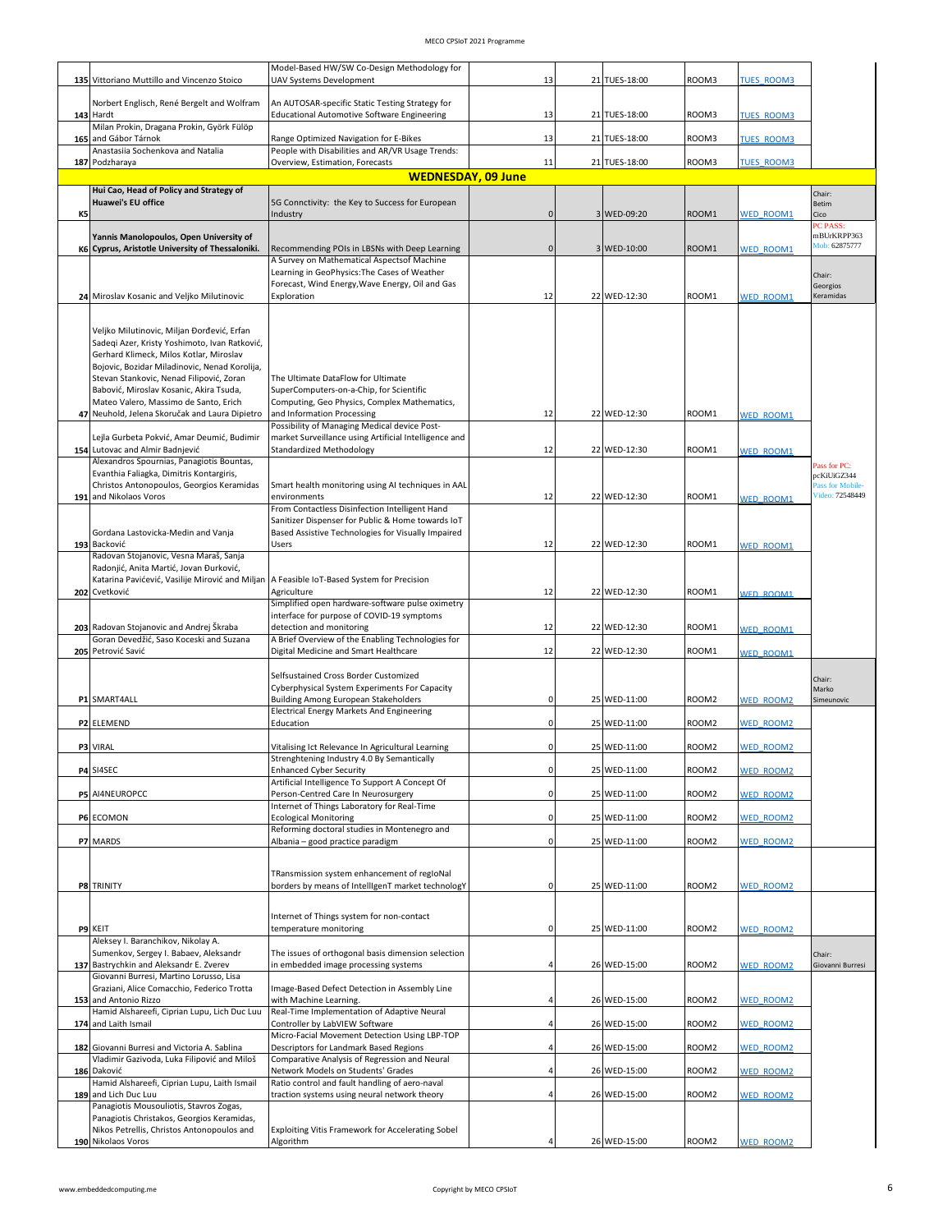|    |                                                                                                                                                                                                                                                                                                                                                                           | Model-Based HW/SW Co-Design Methodology for                                                                                                                                                                  |              |               |       |                   |                                     |
|----|---------------------------------------------------------------------------------------------------------------------------------------------------------------------------------------------------------------------------------------------------------------------------------------------------------------------------------------------------------------------------|--------------------------------------------------------------------------------------------------------------------------------------------------------------------------------------------------------------|--------------|---------------|-------|-------------------|-------------------------------------|
|    | 135 Vittoriano Muttillo and Vincenzo Stoico                                                                                                                                                                                                                                                                                                                               | <b>UAV Systems Development</b>                                                                                                                                                                               | 13           | 21 TUES-18:00 | ROOM3 | <b>TUES ROOM3</b> |                                     |
|    | Norbert Englisch, René Bergelt and Wolfram                                                                                                                                                                                                                                                                                                                                | An AUTOSAR-specific Static Testing Strategy for                                                                                                                                                              |              |               |       |                   |                                     |
|    | 143 Hardt                                                                                                                                                                                                                                                                                                                                                                 | Educational Automotive Software Engineering                                                                                                                                                                  | 13           | 21 TUES-18:00 | ROOM3 | <b>TUES ROOM3</b> |                                     |
|    | Milan Prokin, Dragana Prokin, Györk Fülöp<br>165 and Gábor Tárnok                                                                                                                                                                                                                                                                                                         | Range Optimized Navigation for E-Bikes                                                                                                                                                                       | 13           | 21 TUES-18:00 | ROOM3 | <b>TUES ROOM3</b> |                                     |
|    | Anastasiia Sochenkova and Natalia                                                                                                                                                                                                                                                                                                                                         | People with Disabilities and AR/VR Usage Trends:                                                                                                                                                             |              |               |       |                   |                                     |
|    | 187 Podzharaya                                                                                                                                                                                                                                                                                                                                                            | Overview, Estimation, Forecasts                                                                                                                                                                              | 11           | 21 TUES-18:00 | ROOM3 | <b>TUES ROOM3</b> |                                     |
|    | Hui Cao, Head of Policy and Strategy of                                                                                                                                                                                                                                                                                                                                   | <b>WEDNESDAY, 09 June</b>                                                                                                                                                                                    |              |               |       |                   | Chair:                              |
|    | <b>Huawei's EU office</b>                                                                                                                                                                                                                                                                                                                                                 | 5G Connctivity: the Key to Success for European                                                                                                                                                              |              |               |       |                   | Betim                               |
| K5 |                                                                                                                                                                                                                                                                                                                                                                           | Industry                                                                                                                                                                                                     | $\mathbf{0}$ | 3 WED-09:20   | ROOM1 | <b>WED ROOM1</b>  | Cico<br>PC PASS:                    |
|    | Yannis Manolopoulos, Open University of                                                                                                                                                                                                                                                                                                                                   |                                                                                                                                                                                                              |              |               |       |                   | mBUrKRPP363                         |
|    | K6 Cyprus, Aristotle University of Thessaloniki.                                                                                                                                                                                                                                                                                                                          | Recommending POIs in LBSNs with Deep Learning<br>A Survey on Mathematical Aspectsof Machine                                                                                                                  | $\Omega$     | 3 WED-10:00   | ROOM1 | <b>WED ROOM1</b>  | Mob: 62875777                       |
|    |                                                                                                                                                                                                                                                                                                                                                                           | Learning in GeoPhysics: The Cases of Weather                                                                                                                                                                 |              |               |       |                   | Chair:                              |
|    |                                                                                                                                                                                                                                                                                                                                                                           | Forecast, Wind Energy, Wave Energy, Oil and Gas                                                                                                                                                              |              |               |       |                   | Georgios                            |
|    | 24 Miroslav Kosanic and Veljko Milutinovic                                                                                                                                                                                                                                                                                                                                | Exploration                                                                                                                                                                                                  | 12           | 22 WED-12:30  | ROOM1 | <b>WED ROOM1</b>  | Keramidas                           |
|    | Veljko Milutinovic, Miljan Đorđević, Erfan<br>Sadeqi Azer, Kristy Yoshimoto, Ivan Ratković,<br>Gerhard Klimeck, Milos Kotlar, Miroslav<br>Bojovic, Bozidar Miladinovic, Nenad Korolija,<br>Stevan Stankovic, Nenad Filipović, Zoran<br>Babović, Miroslav Kosanic, Akira Tsuda,<br>Mateo Valero, Massimo de Santo, Erich<br>47 Neuhold, Jelena Skoručak and Laura Dipietro | The Ultimate DataFlow for Ultimate<br>SuperComputers-on-a-Chip, for Scientific<br>Computing, Geo Physics, Complex Mathematics,<br>and Information Processing<br>Possibility of Managing Medical device Post- | 12           | 22 WED-12:30  | ROOM1 | <b>WED ROOM1</b>  |                                     |
|    | Lejla Gurbeta Pokvić, Amar Deumić, Budimir                                                                                                                                                                                                                                                                                                                                | market Surveillance using Artificial Intelligence and                                                                                                                                                        |              |               |       |                   |                                     |
|    | 154 Lutovac and Almir Badnjević                                                                                                                                                                                                                                                                                                                                           | Standardized Methodology                                                                                                                                                                                     | 12           | 22 WED-12:30  | ROOM1 | <b>WED ROOM1</b>  |                                     |
|    | Alexandros Spournias, Panagiotis Bountas,<br>Evanthia Faliagka, Dimitris Kontargiris,                                                                                                                                                                                                                                                                                     |                                                                                                                                                                                                              |              |               |       |                   | Pass for PC:<br>pcKiUiGZ344         |
|    | Christos Antonopoulos, Georgios Keramidas                                                                                                                                                                                                                                                                                                                                 | Smart health monitoring using AI techniques in AAL                                                                                                                                                           | 12           | 22 WED-12:30  | ROOM1 |                   | Pass for Mobile-<br>Video: 72548449 |
|    | 191 and Nikolaos Voros                                                                                                                                                                                                                                                                                                                                                    | environments<br>From Contactless Disinfection Intelligent Hand                                                                                                                                               |              |               |       | <b>WED ROOM1</b>  |                                     |
|    |                                                                                                                                                                                                                                                                                                                                                                           | Sanitizer Dispenser for Public & Home towards IoT                                                                                                                                                            |              |               |       |                   |                                     |
|    | Gordana Lastovicka-Medin and Vanja<br>193 Backović                                                                                                                                                                                                                                                                                                                        | Based Assistive Technologies for Visually Impaired<br>Users                                                                                                                                                  | 12           | 22 WED-12:30  | ROOM1 | <b>WED ROOM1</b>  |                                     |
|    | Radovan Stojanovic, Vesna Maraš, Sanja                                                                                                                                                                                                                                                                                                                                    |                                                                                                                                                                                                              |              |               |       |                   |                                     |
|    | Radonjić, Anita Martić, Jovan Đurković,<br>Katarina Pavićević, Vasilije Mirović and Miljan                                                                                                                                                                                                                                                                                | A Feasible IoT-Based System for Precision                                                                                                                                                                    |              |               |       |                   |                                     |
|    | 202 Cvetković                                                                                                                                                                                                                                                                                                                                                             | Agriculture                                                                                                                                                                                                  | 12           | 22 WED-12:30  | ROOM1 | <b>NED ROOM1</b>  |                                     |
|    |                                                                                                                                                                                                                                                                                                                                                                           | Simplified open hardware-software pulse oximetry<br>interface for purpose of COVID-19 symptoms                                                                                                               |              |               |       |                   |                                     |
|    | 203 Radovan Stojanovic and Andrej Škraba                                                                                                                                                                                                                                                                                                                                  | detection and monitoring                                                                                                                                                                                     | 12           | 22 WED-12:30  | ROOM1 | <b>WED ROOM1</b>  |                                     |
|    | Goran Devedžić, Saso Koceski and Suzana<br>205 Petrović Savić                                                                                                                                                                                                                                                                                                             | A Brief Overview of the Enabling Technologies for<br>Digital Medicine and Smart Healthcare                                                                                                                   | 12           | 22 WED-12:30  | ROOM1 | <b>WED ROOM1</b>  |                                     |
|    | P1 SMART4ALL                                                                                                                                                                                                                                                                                                                                                              | Selfsustained Cross Border Customized<br>Cyberphysical System Experiments For Capacity<br><b>Building Among European Stakeholders</b><br>Electrical Energy Markets And Engineering                           | $\Omega$     | 25 WED-11:00  | ROOM2 | <b>WED ROOM2</b>  | Chair:<br>Marko<br>Simeunovic       |
|    | P2 ELEMEND                                                                                                                                                                                                                                                                                                                                                                | Education                                                                                                                                                                                                    |              | 25 WED-11:00  | ROOM2 | <b>WED ROOM2</b>  |                                     |
|    | P3 VIRAL                                                                                                                                                                                                                                                                                                                                                                  | Vitalising Ict Relevance In Agricultural Learning                                                                                                                                                            |              | 25 WED-11:00  | ROOM2 | <b>WED ROOM2</b>  |                                     |
|    |                                                                                                                                                                                                                                                                                                                                                                           | Strenghtening Industry 4.0 By Semantically                                                                                                                                                                   |              |               |       |                   |                                     |
|    | P4 SI4SEC                                                                                                                                                                                                                                                                                                                                                                 | <b>Enhanced Cyber Security</b><br>Artificial Intelligence To Support A Concept Of                                                                                                                            |              | 25 WED-11:00  | ROOM2 | <b>WED ROOM2</b>  |                                     |
|    | P5 AI4NEUROPCC                                                                                                                                                                                                                                                                                                                                                            | Person-Centred Care In Neurosurgery                                                                                                                                                                          |              | 25 WED-11:00  | ROOM2 | <b>WED ROOM2</b>  |                                     |
|    |                                                                                                                                                                                                                                                                                                                                                                           | Internet of Things Laboratory for Real-Time                                                                                                                                                                  |              |               |       |                   |                                     |
|    | P6 ECOMON                                                                                                                                                                                                                                                                                                                                                                 | <b>Ecological Monitoring</b><br>Reforming doctoral studies in Montenegro and                                                                                                                                 |              | 25 WED-11:00  | ROOM2 | <b>WED ROOM2</b>  |                                     |
|    | P7 MARDS                                                                                                                                                                                                                                                                                                                                                                  | Albania - good practice paradigm                                                                                                                                                                             | $\Omega$     | 25 WED-11:00  | ROOM2 | <b>WED ROOM2</b>  |                                     |
|    |                                                                                                                                                                                                                                                                                                                                                                           |                                                                                                                                                                                                              |              |               |       |                   |                                     |
|    | P8 TRINITY                                                                                                                                                                                                                                                                                                                                                                | TRansmission system enhancement of regloNal<br>borders by means of IntelligenT market technologY                                                                                                             | $\Omega$     | 25 WED-11:00  | ROOM2 | <b>WED ROOM2</b>  |                                     |
|    |                                                                                                                                                                                                                                                                                                                                                                           |                                                                                                                                                                                                              |              |               |       |                   |                                     |
|    |                                                                                                                                                                                                                                                                                                                                                                           | Internet of Things system for non-contact                                                                                                                                                                    |              |               |       |                   |                                     |
|    | P9 KEIT<br>Aleksey I. Baranchikov, Nikolay A.                                                                                                                                                                                                                                                                                                                             | temperature monitoring                                                                                                                                                                                       |              | 25 WED-11:00  | ROOM2 | <b>WED ROOM2</b>  |                                     |
|    | Sumenkov, Sergey I. Babaev, Aleksandr<br>137 Bastrychkin and Aleksandr E. Zverev<br>Giovanni Burresi, Martino Lorusso, Lisa                                                                                                                                                                                                                                               | The issues of orthogonal basis dimension selection<br>in embedded image processing systems                                                                                                                   |              | 26 WED-15:00  | ROOM2 | <b>WED ROOM2</b>  | Chair:<br>Giovanni Burresi          |
|    | Graziani, Alice Comacchio, Federico Trotta<br>153 and Antonio Rizzo<br>Hamid Alshareefi, Ciprian Lupu, Lich Duc Luu                                                                                                                                                                                                                                                       | Image-Based Defect Detection in Assembly Line<br>with Machine Learning.<br>Real-Time Implementation of Adaptive Neural                                                                                       |              | 26 WED-15:00  | ROOM2 | <b>WED ROOM2</b>  |                                     |
|    | 174 and Laith Ismail                                                                                                                                                                                                                                                                                                                                                      | Controller by LabVIEW Software                                                                                                                                                                               |              | 26 WED-15:00  | ROOM2 | <b>WED ROOM2</b>  |                                     |
|    | 182 Giovanni Burresi and Victoria A. Sablina                                                                                                                                                                                                                                                                                                                              | Micro-Facial Movement Detection Using LBP-TOP<br>Descriptors for Landmark Based Regions                                                                                                                      |              | 26 WED-15:00  | ROOM2 | <b>WED ROOM2</b>  |                                     |
|    | Vladimir Gazivoda, Luka Filipović and Miloš                                                                                                                                                                                                                                                                                                                               | Comparative Analysis of Regression and Neural                                                                                                                                                                |              |               |       |                   |                                     |
|    | 186 Daković<br>Hamid Alshareefi, Ciprian Lupu, Laith Ismail                                                                                                                                                                                                                                                                                                               | Network Models on Students' Grades<br>Ratio control and fault handling of aero-naval                                                                                                                         |              | 26 WED-15:00  | ROOM2 | <b>WED ROOM2</b>  |                                     |
|    | 189 and Lich Duc Luu                                                                                                                                                                                                                                                                                                                                                      | traction systems using neural network theory                                                                                                                                                                 |              | 26 WED-15:00  | ROOM2 | <b>NED ROOM2</b>  |                                     |
|    | Panagiotis Mousouliotis, Stavros Zogas,<br>Panagiotis Christakos, Georgios Keramidas,                                                                                                                                                                                                                                                                                     |                                                                                                                                                                                                              |              |               |       |                   |                                     |
|    | Nikos Petrellis, Christos Antonopoulos and                                                                                                                                                                                                                                                                                                                                | Exploiting Vitis Framework for Accelerating Sobel                                                                                                                                                            |              |               |       |                   |                                     |
|    | 190 Nikolaos Voros                                                                                                                                                                                                                                                                                                                                                        | Algorithm                                                                                                                                                                                                    |              | 26 WED-15:00  | ROOM2 | <b>WED ROOM2</b>  |                                     |